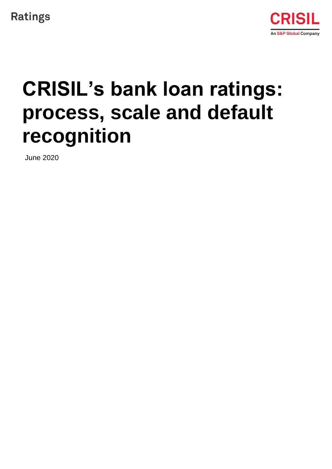



# **CRISIL's bank loan ratings: process, scale and default recognition**

June 2020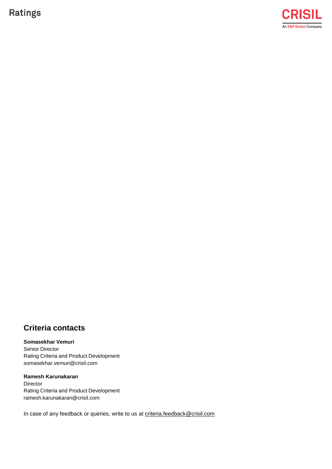**Ratings** 



### **Criteria contacts**

#### **Somasekhar Vemuri**

Senior Director Rating Criteria and Product Development somasekha[r.vemuri@crisil.com](mailto:vemuri@crisil.com)

#### **Ramesh Karunakaran**

Director Rating Criteria and Product Development [ramesh.karunakaran@crisil.com](mailto:ramesh.karunakaran@crisil.com)

In case of any feedback or queries, write to us at [criteria.feedback@crisil.com](mailto:criteria.feedback@crisil.com)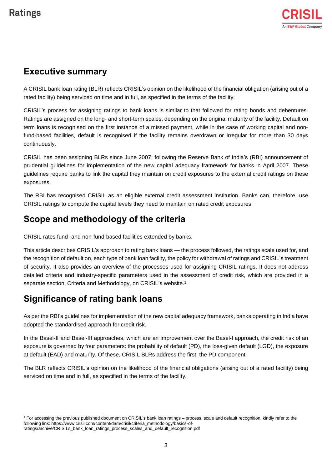l

### **Executive summary**

A CRISIL bank loan rating (BLR) reflects CRISIL's opinion on the likelihood of the financial obligation (arising out of a rated facility) being serviced on time and in full, as specified in the terms of the facility.

CRISIL's process for assigning ratings to bank loans is similar to that followed for rating bonds and debentures. Ratings are assigned on the long- and short-term scales, depending on the original maturity of the facility. Default on term loans is recognised on the first instance of a missed payment, while in the case of working capital and nonfund-based facilities, default is recognised if the facility remains overdrawn or irregular for more than 30 days continuously.

CRISIL has been assigning BLRs since June 2007, following the Reserve Bank of India's (RBI) announcement of prudential guidelines for implementation of the new capital adequacy framework for banks in April 2007. These guidelines require banks to link the capital they maintain on credit exposures to the external credit ratings on these exposures.

The RBI has recognised CRISIL as an eligible external credit assessment institution. Banks can, therefore, use CRISIL ratings to compute the capital levels they need to maintain on rated credit exposures.

# **Scope and methodology of the criteria**

CRISIL rates fund- and non-fund-based facilities extended by banks.

This article describes CRISIL's approach to rating bank loans — the process followed, the ratings scale used for, and the recognition of default on, each type of bank loan facility, the policy for withdrawal of ratings and CRISIL's treatment of security. It also provides an overview of the processes used for assigning CRISIL ratings. It does not address detailed criteria and industry-specific parameters used in the assessment of credit risk, which are provided in a separate section, Criteria and Methodology, on CRISIL's website.<sup>1</sup>

# **Significance of rating bank loans**

As per the RBI's guidelines for implementation of the new capital adequacy framework, banks operating in India have adopted the standardised approach for credit risk.

In the Basel-II and Basel-III approaches, which are an improvement over the Basel-I approach, the credit risk of an exposure is governed by four parameters: the probability of default (PD), the loss-given default (LGD), the exposure at default (EAD) and maturity. Of these, CRISIL BLRs address the first: the PD component.

The BLR reflects CRISIL's opinion on the likelihood of the financial obligations (arising out of a rated facility) being serviced on time and in full, as specified in the terms of the facility.

<sup>1</sup> For accessing the previous published document on CRISIL's bank loan ratings – process, scale and default recognition, kindly refer to the following link[: https://www.crisil.com/content/dam/crisil/criteria\\_methodology/basics-of](https://www.crisil.com/content/dam/crisil/criteria_methodology/basics-of-ratings/archive/CRISILs_bank_loan_ratings_process_scales_and_default_recognition.pdf)[ratings/archive/CRISILs\\_bank\\_loan\\_ratings\\_process\\_scales\\_and\\_default\\_recognition.pdf](https://www.crisil.com/content/dam/crisil/criteria_methodology/basics-of-ratings/archive/CRISILs_bank_loan_ratings_process_scales_and_default_recognition.pdf)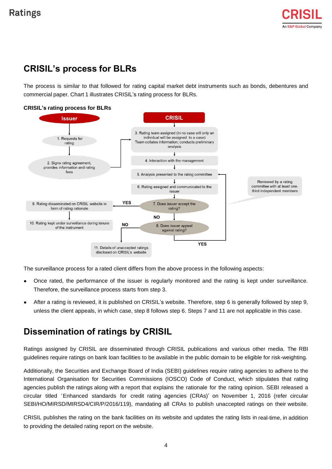# **CRISIL's process for BLRs**

The process is similar to that followed for rating capital market debt instruments such as bonds, debentures and commercial paper. Chart 1 illustrates CRISIL's rating process for BLRs.

#### **CRISIL's rating process for BLRs**



The surveillance process for a rated client differs from the above process in the following aspects:

- Once rated, the performance of the issuer is regularly monitored and the rating is kept under surveillance. Therefore, the surveillance process starts from step 3.
- After a rating is reviewed, it is published on CRISIL's website. Therefore, step 6 is generally followed by step 9, unless the client appeals, in which case, step 8 follows step 6. Steps 7 and 11 are not applicable in this case.

### **Dissemination of ratings by CRISIL**

Ratings assigned by CRISIL are disseminated through CRISIL publications and various other media. The RBI guidelines require ratings on bank loan facilities to be available in the public domain to be eligible for risk-weighting.

Additionally, the Securities and Exchange Board of India (SEBI) guidelines require rating agencies to adhere to the International Organisation for Securities Commissions (IOSCO) Code of Conduct, which stipulates that rating agencies publish the ratings along with a report that explains the rationale for the rating opinion. SEBI released a circular titled 'Enhanced standards for credit rating agencies (CRAs)' on November 1, 2016 (refer circular SEBI/HO/MIRSD/MIRSD4/CIR/P/2016/119), mandating all CRAs to publish unaccepted ratings on their website.

CRISIL publishes the rating on the bank facilities on its website and updates the rating lists in real-time, in addition to providing the detailed rating report on the website.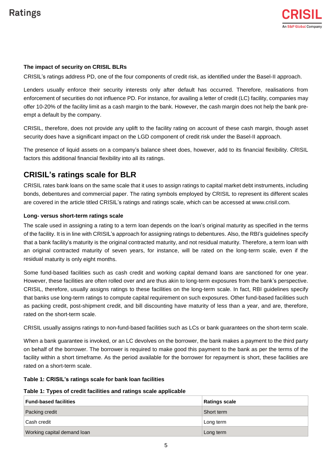# **Ratings**

#### **The impact of security on CRISIL BLRs**

CRISIL's ratings address PD, one of the four components of credit risk, as identified under the Basel-II approach.

Lenders usually enforce their security interests only after default has occurred. Therefore, realisations from enforcement of securities do not influence PD. For instance, for availing a letter of credit (LC) facility, companies may offer 10-20% of the facility limit as a cash margin to the bank. However, the cash margin does not help the bank preempt a default by the company.

CRISIL, therefore, does not provide any uplift to the facility rating on account of these cash margin, though asset security does have a significant impact on the LGD component of credit risk under the Basel-II approach.

The presence of liquid assets on a company's balance sheet does, however, add to its financial flexibility. CRISIL factors this additional financial flexibility into all its ratings.

### **CRISIL's ratings scale for BLR**

CRISIL rates bank loans on the same scale that it uses to assign ratings to capital market debt instruments, including bonds, debentures and commercial paper. The rating symbols employed by CRISIL to represent its different scales are covered in the article titled CRISIL's ratings and ratings scale, which can be accessed at [www.crisil.com.](http://www.crisil.com/)

#### **Long- versus short-term ratings scale**

The scale used in assigning a rating to a term loan depends on the loan's original maturity as specified in the terms of the facility. It is in line with CRISIL's approach for assigning ratings to debentures. Also, the RBI's guidelines specify that a bank facility's maturity is the original contracted maturity, and not residual maturity. Therefore, a term loan with an original contracted maturity of seven years, for instance, will be rated on the long-term scale, even if the residual maturity is only eight months.

Some fund-based facilities such as cash credit and working capital demand loans are sanctioned for one year. However, these facilities are often rolled over and are thus akin to long-term exposures from the bank's perspective. CRISIL, therefore, usually assigns ratings to these facilities on the long-term scale. In fact, RBI guidelines specify that banks use long-term ratings to compute capital requirement on such exposures. Other fund-based facilities such as packing credit, post-shipment credit, and bill discounting have maturity of less than a year, and are, therefore, rated on the short-term scale.

CRISIL usually assigns ratings to non-fund-based facilities such as LCs or bank guarantees on the short-term scale.

When a bank guarantee is invoked, or an LC devolves on the borrower, the bank makes a payment to the third party on behalf of the borrower. The borrower is required to make good this payment to the bank as per the terms of the facility within a short timeframe. As the period available for the borrower for repayment is short, these facilities are rated on a short-term scale.

#### **Table 1: CRISIL's ratings scale for bank loan facilities**

#### **Table 1: Types of credit facilities and ratings scale applicable**

| <b>Fund-based facilities</b> | <b>Ratings scale</b> |
|------------------------------|----------------------|
| Packing credit               | Short term           |
| Cash credit                  | Long term            |
| Working capital demand loan  | Long term            |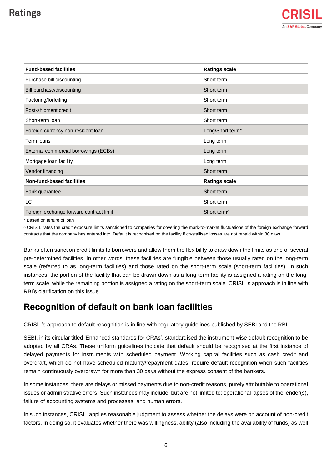# **Ratings**

| <b>Fund-based facilities</b>            | <b>Ratings scale</b>    |
|-----------------------------------------|-------------------------|
| Purchase bill discounting               | Short term              |
| Bill purchase/discounting               | Short term              |
| Factoring/forfeiting                    | Short term              |
| Post-shipment credit                    | Short term              |
| Short-term loan                         | Short term              |
| Foreign-currency non-resident loan      | Long/Short term*        |
| Term loans                              | Long term               |
| External commercial borrowings (ECBs)   | Long term               |
| Mortgage Ioan facility                  | Long term               |
| Vendor financing                        | Short term              |
| Non-fund-based facilities               | <b>Ratings scale</b>    |
| Bank guarantee                          | Short term              |
| LC                                      | Short term              |
| Foreign exchange forward contract limit | Short term <sup>^</sup> |

\* Based on tenure of loan

^ CRISIL rates the credit exposure limits sanctioned to companies for covering the mark-to-market fluctuations of the foreign exchange forward contracts that the company has entered into. Default is recognised on the facility if crystallised losses are not repaid within 30 days.

Banks often sanction credit limits to borrowers and allow them the flexibility to draw down the limits as one of several pre-determined facilities. In other words, these facilities are fungible between those usually rated on the long-term scale (referred to as long-term facilities) and those rated on the short-term scale (short-term facilities). In such instances, the portion of the facility that can be drawn down as a long-term facility is assigned a rating on the longterm scale, while the remaining portion is assigned a rating on the short-term scale. CRISIL's approach is in line with RBI's clarification on this issue.

### **Recognition of default on bank loan facilities**

CRISIL's approach to default recognition is in line with regulatory guidelines published by SEBI and the RBI.

SEBI, in its circular titled 'Enhanced standards for CRAs', standardised the instrument-wise default recognition to be adopted by all CRAs. These uniform guidelines indicate that default should be recognised at the first instance of delayed payments for instruments with scheduled payment. Working capital facilities such as cash credit and overdraft, which do not have scheduled maturity/repayment dates, require default recognition when such facilities remain continuously overdrawn for more than 30 days without the express consent of the bankers.

In some instances, there are delays or missed payments due to non-credit reasons, purely attributable to operational issues or administrative errors. Such instances may include, but are not limited to: operational lapses of the lender(s), failure of accounting systems and processes, and human errors.

In such instances, CRISIL applies reasonable judgment to assess whether the delays were on account of non-credit factors. In doing so, it evaluates whether there was willingness, ability (also including the availability of funds) as well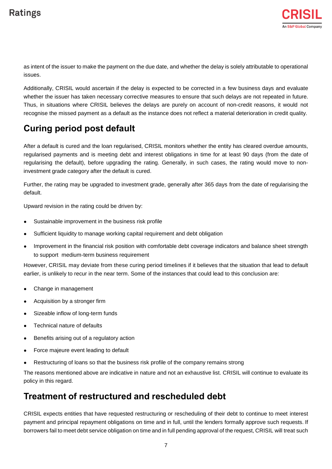as intent of the issuer to make the payment on the due date, and whether the delay is solely attributable to operational issues.

Additionally, CRISIL would ascertain if the delay is expected to be corrected in a few business days and evaluate whether the issuer has taken necessary corrective measures to ensure that such delays are not repeated in future. Thus, in situations where CRISIL believes the delays are purely on account of non-credit reasons, it would not recognise the missed payment as a default as the instance does not reflect a material deterioration in credit quality.

# **Curing period post default**

After a default is cured and the loan regularised, CRISIL monitors whether the entity has cleared overdue amounts, regularised payments and is meeting debt and interest obligations in time for at least 90 days (from the date of regularising the default), before upgrading the rating. Generally, in such cases, the rating would move to noninvestment grade category after the default is cured.

Further, the rating may be upgraded to investment grade, generally after 365 days from the date of regularising the default.

Upward revision in the rating could be driven by:

- Sustainable improvement in the business risk profile
- Sufficient liquidity to manage working capital requirement and debt obligation
- Improvement in the financial risk position with comfortable debt coverage indicators and balance sheet strength to support medium-term business requirement

However, CRISIL may deviate from these curing period timelines if it believes that the situation that lead to default earlier, is unlikely to recur in the near term. Some of the instances that could lead to this conclusion are:

- Change in management
- Acquisition by a stronger firm
- Sizeable inflow of long-term funds
- Technical nature of defaults
- Benefits arising out of a regulatory action
- Force majeure event leading to default
- Restructuring of loans so that the business risk profile of the company remains strong

The reasons mentioned above are indicative in nature and not an exhaustive list. CRISIL will continue to evaluate its policy in this regard.

### **Treatment of restructured and rescheduled debt**

CRISIL expects entities that have requested restructuring or rescheduling of their debt to continue to meet interest payment and principal repayment obligations on time and in full, until the lenders formally approve such requests. If borrowers fail to meet debt service obligation on time and in full pending approval of the request, CRISIL will treat such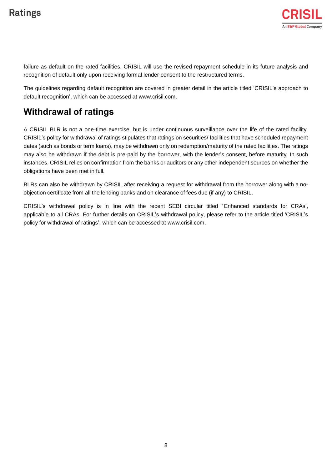failure as default on the rated facilities. CRISIL will use the revised repayment schedule in its future analysis and recognition of default only upon receiving formal lender consent to the restructured terms.

The guidelines regarding default recognition are covered in greater detail in the article titled 'CRISIL's approach to default recognition', which can be access[ed at www.crisil.com.](http://www.crisil.com/)

### **Withdrawal of ratings**

A CRISIL BLR is not a one-time exercise, but is under continuous surveillance over the life of the rated facility. CRISIL's policy for withdrawal of ratings stipulates that ratings on securities/ facilities that have scheduled repayment dates (such as bonds or term loans), may be withdrawn only on redemption/maturity of the rated facilities. The ratings may also be withdrawn if the debt is pre-paid by the borrower, with the lender's consent, before maturity. In such instances, CRISIL relies on confirmation from the banks or auditors or any other independent sources on whether the obligations have been met in full.

BLRs can also be withdrawn by CRISIL after receiving a request for withdrawal from the borrower along with a noobjection certificate from all the lending banks and on clearance of fees due (if any) to CRISIL.

CRISIL's withdrawal policy is in line with the recent SEBI circular titled ' Enhanced standards for CRAs', applicable to all CRAs. For further details on CRISIL's withdrawal policy, please refer to the article titled 'CRISIL's policy for withdrawal of ratings', which can be access[ed at www.crisil.com.](http://www.crisil.com/)